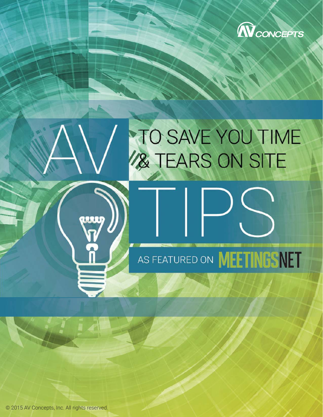

# TO SAVE YOU TIME AS FEATURED ON **MEETINGSNET**

© 2015 AV Concepts, Inc. All rights reserved.